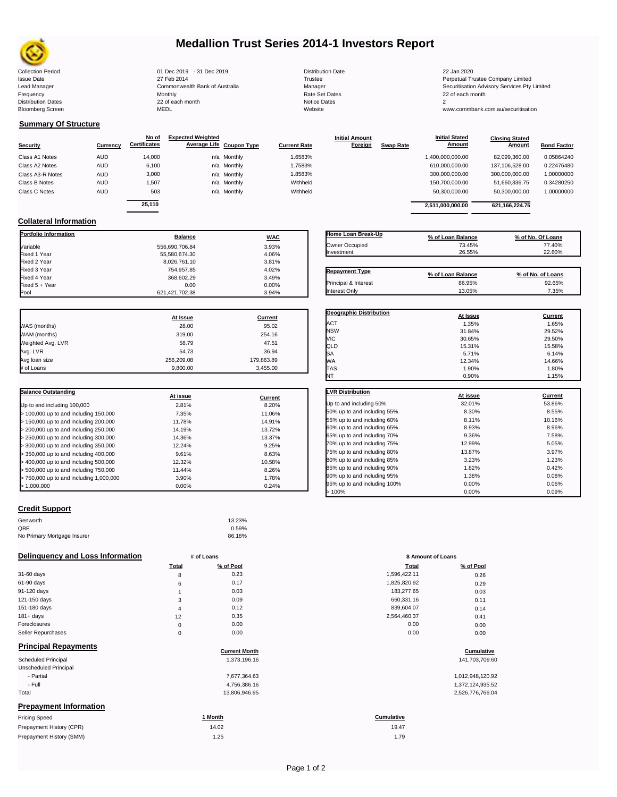

# **Medallion Trust Series 2014-1 Investors Report**

| Trustee<br>Manager<br>Notice Dates | Distribution Da       |
|------------------------------------|-----------------------|
|                                    |                       |
|                                    |                       |
|                                    | <b>Rate Set Dates</b> |
|                                    |                       |
|                                    | Website               |

**Initial Amount** 

**Closing Stated Amount**

www.commbank.com.au/securitisation

## **Summary Of Structure**

**Collateral Information**

|                  |            | No of               | <b>Expected Weighted</b> |             |                     | <b>Initial Amount</b> |                  | <b>Initial Stated</b> | <b>Closing Stated</b> |                    |
|------------------|------------|---------------------|--------------------------|-------------|---------------------|-----------------------|------------------|-----------------------|-----------------------|--------------------|
| <b>Security</b>  | Currency   | <b>Certificates</b> | Average Life Coupon Type |             | <b>Current Rate</b> | Foreign               | <b>Swap Rate</b> | <b>Amount</b>         | Amount                | <b>Bond Factor</b> |
| Class A1 Notes   | <b>AUD</b> | 14.000              |                          | n/a Monthly | 1.6583%             |                       |                  | 1,400,000,000.00      | 82.099.360.00         | 0.05864240         |
| Class A2 Notes   | <b>AUD</b> | 6,100               |                          | n/a Monthly | 1.7583%             |                       |                  | 610,000,000.00        | 137.106.528.00        | 0.22476480         |
| Class A3-R Notes | <b>AUD</b> | 3,000               |                          | n/a Monthly | 1.8583%             |                       |                  | 300,000,000.00        | 300,000,000.00        | 1.00000000         |
| Class B Notes    | <b>AUD</b> | 1,507               |                          | n/a Monthly | Withheld            |                       |                  | 150.700.000.00        | 51.660.336.75         | 0.34280250         |
| Class C Notes    | <b>AUD</b> | 503                 |                          | n/a Monthly | Withheld            |                       |                  | 50,300,000.00         | 50,300,000.00         | 1.00000000         |
|                  |            | 25.110              |                          |             |                     |                       |                  |                       |                       |                    |
|                  |            |                     |                          |             |                     |                       |                  | 2.511.000.000.00      | 621.166.224.75        |                    |

**Portfolio Information Balance WAC** Variable 556,690,706.84 3.93% Fixed 1 Year 4.06% Fixed 2 Year 8,026,761.10 3.81% 3.81% 3.81% 3.81% 3.81% 3.81% 3.81% 3.81% 3.81% 3.81% 3.81% 3.81% 3.81% 3.81% <br>- 102% 3.81% 3.81% 3.81% 3.81% 3.81% 3.81% 3.81% 3.81% 3.81% 3.81% 3.81% 3.81% 3.81% 3.81% 3.81% 3.81% 3.81% 3 Fixed 3 Year 754,957.85 4.02% Fixed 4 Year 368,602.29 3.49% Fixed 5 + Year 0.00 0.00%

| Home Loan Break-Up    | % of Loan Balance | % of No. Of Loans |
|-----------------------|-------------------|-------------------|
| Owner Occupied        | 73.45%            | 77.40%            |
| Investment            | 26.55%            | 22.60%            |
| <b>Repayment Type</b> | % of Loan Balance | % of No. of Loans |
| Principal & Interest  | 86.95%            | 92.65%            |
| Interest Only         | 13.05%            | 7.35%             |

**Geographic Distribution**<br> **ACT ACT ACT ACT ACT ACT ACT ACT ACT ACT ACT ACT ACT ACT ACT ACT ACT ACT ACT ACT ACT ACT ACT ACT ACT ACT ACT ACT** ACT 1.35% 1.65% NSW 31.84% 29.52% VIC 30.65% 29.50% QLD 15.31% 15.58%  $SA$  6.14% 6.14%

**Initial Stated** 

|                   | At Issue   | Current    |
|-------------------|------------|------------|
| WAS (months)      | 28.00      | 95.02      |
| WAM (months)      | 319.00     | 254.16     |
| Weighted Avg. LVR | 58.79      | 47.51      |
| Avg. LVR          | 54.73      | 36.94      |
| Avg loan size     | 256.209.08 | 179,863.89 |
| # of Loans        | 9.800.00   | 3.455.00   |

621,421,702.38

| <b>Balance Outstanding</b>              | At issue | Current |
|-----------------------------------------|----------|---------|
| Up to and including 100,000             | 2.81%    | 8.20%   |
| $>$ 100,000 up to and including 150,000 | 7.35%    | 11.06%  |
| $>$ 150,000 up to and including 200,000 | 11.78%   | 14.91%  |
| > 200,000 up to and including 250,000   | 14.19%   | 13.72%  |
| > 250,000 up to and including 300,000   | 14.36%   | 13.37%  |
| > 300,000 up to and including 350,000   | 12.24%   | 9.25%   |
| $>$ 350,000 up to and including 400,000 | 9.61%    | 8.63%   |
| $>$ 400,000 up to and including 500,000 | 12.32%   | 10.58%  |
| > 500,000 up to and including 750,000   | 11.44%   | 8.26%   |
| > 750,000 up to and including 1,000,000 | 3.90%    | 1.78%   |
| > 1.000.000                             | $0.00\%$ | 0.24%   |

### **Credit Support**

| Genworth                    | 13.23% |
|-----------------------------|--------|
| QBE                         | 0.59%  |
| No Primary Mortgage Insurer | 86.18% |

| Delinguency and Loss Information |              | # of Loans           | \$ Amount of Loans |                  |
|----------------------------------|--------------|----------------------|--------------------|------------------|
|                                  | <b>Total</b> | % of Pool            | Total              | % of Pool        |
| 31-60 days                       | 8            | 0.23                 | 1,596,422.11       | 0.26             |
| 61-90 days                       | 6            | 0.17                 | 1,825,820.92       | 0.29             |
| 91-120 days                      |              | 0.03                 | 183,277.65         | 0.03             |
| 121-150 days                     | 3            | 0.09                 | 660,331.16         | 0.11             |
| 151-180 days                     | 4            | 0.12                 | 839,604.07         | 0.14             |
| $181 + days$                     | 12           | 0.35                 | 2,564,460.37       | 0.41             |
| Foreclosures                     | 0            | 0.00                 | 0.00               | 0.00             |
| Seller Repurchases               | 0            | 0.00                 | 0.00               | 0.00             |
| <b>Principal Repayments</b>      |              | <b>Current Month</b> |                    | Cumulative       |
| Scheduled Principal              |              | 1,373,196.16         |                    | 141,703,709.60   |
| Unscheduled Principal            |              |                      |                    |                  |
| - Partial                        |              | 7,677,364.63         |                    | 1,012,948,120.92 |
| - Full                           |              | 4,756,386.16         |                    | 1,372,124,935.52 |
| Total                            |              | 13,806,946.95        |                    | 2,526,776,766.04 |
| <b>Prepayment Information</b>    |              |                      |                    |                  |

### Pricing Speed **1 Month Cumulative** Prepayment History (CPR) Prepayment History (SMM) 14.02  $1.25$   $1.79$

| WА                           | 12.34%   | 14.66%  |
|------------------------------|----------|---------|
| <b>TAS</b>                   | 1.90%    | 1.80%   |
| NT                           | 0.90%    | 1.15%   |
|                              |          |         |
| <b>LVR Distribution</b>      | At issue | Current |
| Up to and including 50%      | 32.01%   | 53.86%  |
| 50% up to and including 55%  | 8.30%    | 8.55%   |
| 55% up to and including 60%  | 8.11%    | 10.16%  |
| 60% up to and including 65%  | 8.93%    | 8.96%   |
| 65% up to and including 70%  | 9.36%    | 7.58%   |
| 70% up to and including 75%  | 12.99%   | 5.05%   |
| 75% up to and including 80%  | 13.87%   | 3.97%   |
| 80% up to and including 85%  | 3.23%    | 1.23%   |
| 85% up to and including 90%  | 1.82%    | 0.42%   |
| 90% up to and including 95%  | 1.38%    | 0.08%   |
| 95% up to and including 100% | 0.00%    | 0.06%   |
| >100%                        | 0.00%    | 0.09%   |

| # of Loans  |           | \$ Amount of Loans |           |  |
|-------------|-----------|--------------------|-----------|--|
| Total       | % of Pool | Total              | % of Pool |  |
| 8           | 0.23      | 1,596,422.11       | 0.26      |  |
| 6           | 0.17      | 1,825,820.92       | 0.29      |  |
| 1           | 0.03      | 183,277.65         | 0.03      |  |
| 3           | 0.09      | 660,331.16         | 0.11      |  |
| 4           | 0.12      | 839,604.07         | 0.14      |  |
| 12          | 0.35      | 2,564,460.37       | 0.41      |  |
| $\mathbf 0$ | 0.00      | 0.00               | 0.00      |  |
| $\mathbf 0$ | 0.00      | 0.00               | 0.00      |  |
|             |           |                    |           |  |

# **Cumulative**<br> **Cumulative**

19.47

Collection Period 01 Dec 2019 - 31 Dec 2019 Distribution Date 22 Jan 2020 Issue Date 27 Feb 2014 Trustee Perpetual Trustee Company Limited Lead Manager **Commonwealth Bank of Australia** Manager Manager Securitisation Advisory Services Pty Limited Frequency Monthly Rate Set Dates 22 of each month Prequency results are the month of the Monthly Monthly and the Set Dates 22 of each month of the Set Dates 20 of each month of the Set Dates 20 of each month of the Set Dates 20 of each month of the Set Dates 20 of each mo